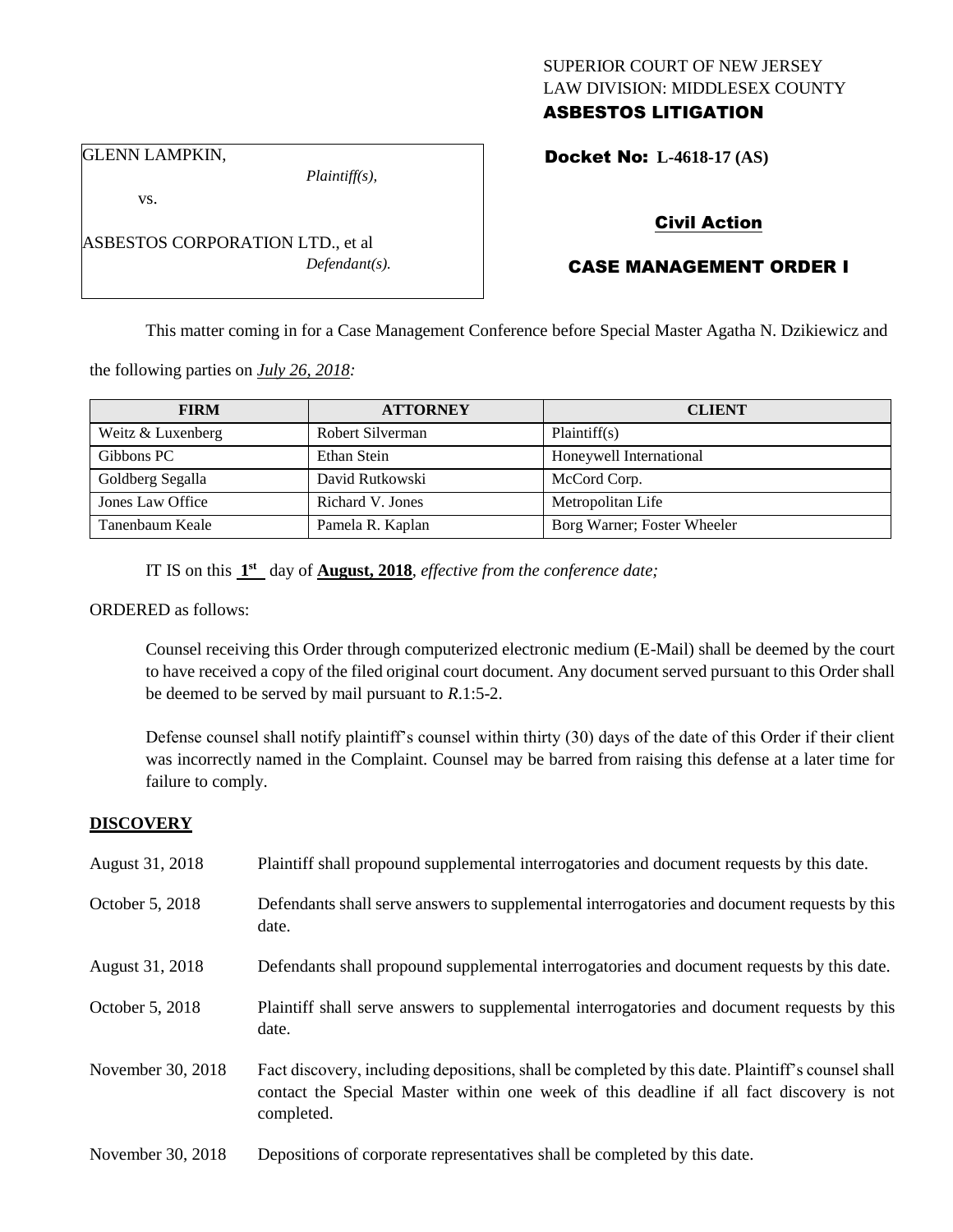## SUPERIOR COURT OF NEW JERSEY LAW DIVISION: MIDDLESEX COUNTY ASBESTOS LITIGATION

GLENN LAMPKIN,

*Plaintiff(s),*

# Civil Action

## CASE MANAGEMENT ORDER I

This matter coming in for a Case Management Conference before Special Master Agatha N. Dzikiewicz and

the following parties on *July 26, 2018:*

| <b>FIRM</b>       | <b>ATTORNEY</b>  | <b>CLIENT</b>               |  |
|-------------------|------------------|-----------------------------|--|
| Weitz & Luxenberg | Robert Silverman | Plaintiff(s)                |  |
| Gibbons PC        | Ethan Stein      | Honeywell International     |  |
| Goldberg Segalla  | David Rutkowski  | McCord Corp.                |  |
| Jones Law Office  | Richard V. Jones | Metropolitan Life           |  |
| Tanenbaum Keale   | Pamela R. Kaplan | Borg Warner; Foster Wheeler |  |

IT IS on this  $1<sup>st</sup>$  day of **August, 2018**, *effective from the conference date*;

#### ORDERED as follows:

Counsel receiving this Order through computerized electronic medium (E-Mail) shall be deemed by the court to have received a copy of the filed original court document. Any document served pursuant to this Order shall be deemed to be served by mail pursuant to *R*.1:5-2.

Defense counsel shall notify plaintiff's counsel within thirty (30) days of the date of this Order if their client was incorrectly named in the Complaint. Counsel may be barred from raising this defense at a later time for failure to comply.

## **DISCOVERY**

| August 31, 2018   | Plaintiff shall propound supplemental interrogatories and document requests by this date.                                                                                                                   |
|-------------------|-------------------------------------------------------------------------------------------------------------------------------------------------------------------------------------------------------------|
| October 5, 2018   | Defendants shall serve answers to supplemental interrogatories and document requests by this<br>date.                                                                                                       |
| August 31, 2018   | Defendants shall propound supplemental interrogatories and document requests by this date.                                                                                                                  |
| October 5, 2018   | Plaintiff shall serve answers to supplemental interrogatories and document requests by this<br>date.                                                                                                        |
| November 30, 2018 | Fact discovery, including depositions, shall be completed by this date. Plaintiff's counsel shall<br>contact the Special Master within one week of this deadline if all fact discovery is not<br>completed. |
| November 30, 2018 | Depositions of corporate representatives shall be completed by this date.                                                                                                                                   |

ASBESTOS CORPORATION LTD., et al *Defendant(s).*

Docket No: **L-4618-17 (AS)** 

vs.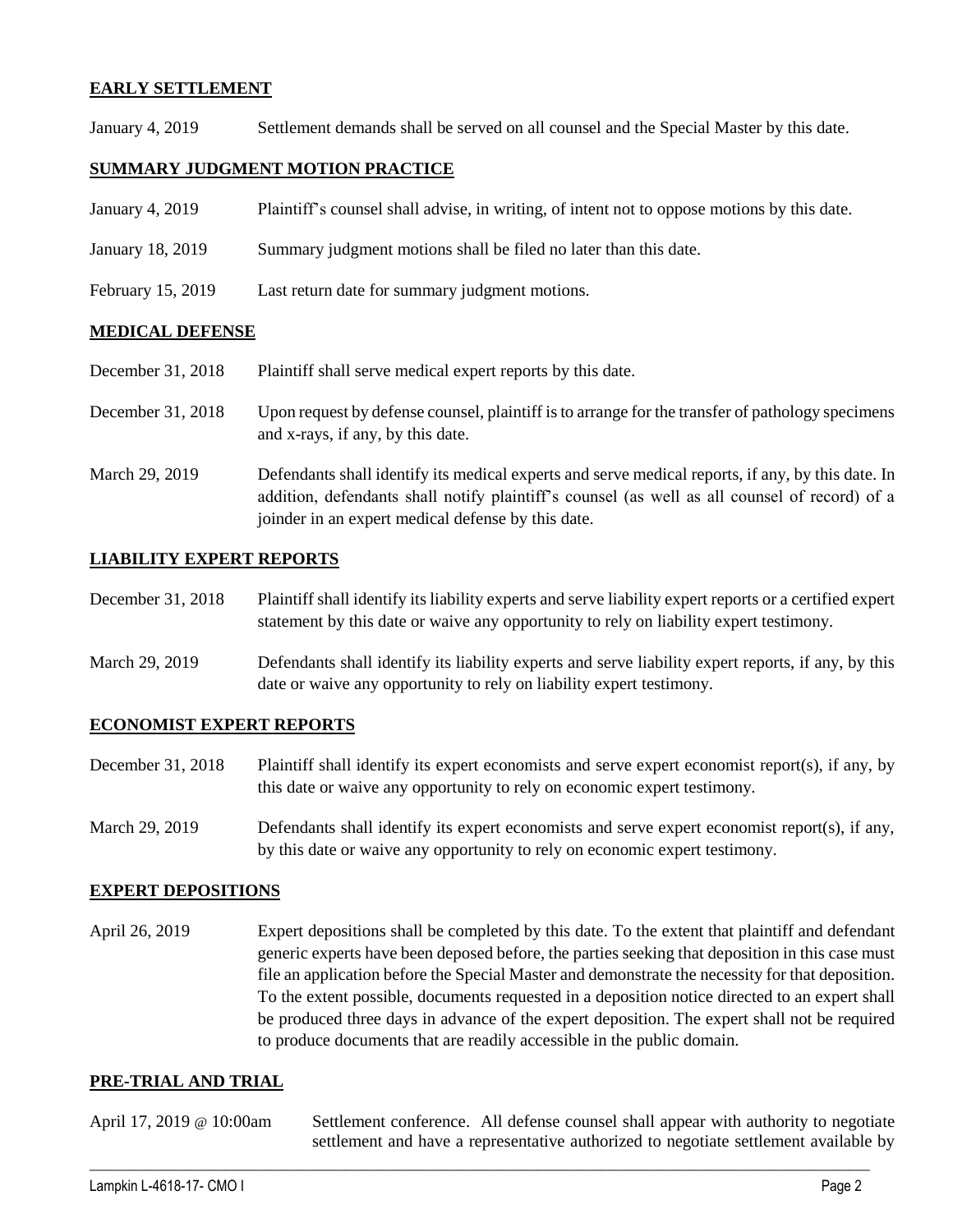## **EARLY SETTLEMENT**

January 4, 2019 Settlement demands shall be served on all counsel and the Special Master by this date.

## **SUMMARY JUDGMENT MOTION PRACTICE**

- January 4, 2019 Plaintiff's counsel shall advise, in writing, of intent not to oppose motions by this date.
- January 18, 2019 Summary judgment motions shall be filed no later than this date.
- February 15, 2019 Last return date for summary judgment motions.

## **MEDICAL DEFENSE**

- December 31, 2018 Plaintiff shall serve medical expert reports by this date.
- December 31, 2018 Upon request by defense counsel, plaintiff is to arrange for the transfer of pathology specimens and x-rays, if any, by this date.
- March 29, 2019 Defendants shall identify its medical experts and serve medical reports, if any, by this date. In addition, defendants shall notify plaintiff's counsel (as well as all counsel of record) of a joinder in an expert medical defense by this date.

## **LIABILITY EXPERT REPORTS**

- December 31, 2018 Plaintiff shall identify its liability experts and serve liability expert reports or a certified expert statement by this date or waive any opportunity to rely on liability expert testimony.
- March 29, 2019 Defendants shall identify its liability experts and serve liability expert reports, if any, by this date or waive any opportunity to rely on liability expert testimony.

## **ECONOMIST EXPERT REPORTS**

- December 31, 2018 Plaintiff shall identify its expert economists and serve expert economist report(s), if any, by this date or waive any opportunity to rely on economic expert testimony.
- March 29, 2019 Defendants shall identify its expert economists and serve expert economist report(s), if any, by this date or waive any opportunity to rely on economic expert testimony.

## **EXPERT DEPOSITIONS**

April 26, 2019 Expert depositions shall be completed by this date. To the extent that plaintiff and defendant generic experts have been deposed before, the parties seeking that deposition in this case must file an application before the Special Master and demonstrate the necessity for that deposition. To the extent possible, documents requested in a deposition notice directed to an expert shall be produced three days in advance of the expert deposition. The expert shall not be required to produce documents that are readily accessible in the public domain.

## **PRE-TRIAL AND TRIAL**

| April 17, 2019 @ 10:00am | Settlement conference. All defense counsel shall appear with authority to negotiate  |  |  |  |
|--------------------------|--------------------------------------------------------------------------------------|--|--|--|
|                          | settlement and have a representative authorized to negotiate settlement available by |  |  |  |

 $\_$  ,  $\_$  ,  $\_$  ,  $\_$  ,  $\_$  ,  $\_$  ,  $\_$  ,  $\_$  ,  $\_$  ,  $\_$  ,  $\_$  ,  $\_$  ,  $\_$  ,  $\_$  ,  $\_$  ,  $\_$  ,  $\_$  ,  $\_$  ,  $\_$  ,  $\_$  ,  $\_$  ,  $\_$  ,  $\_$  ,  $\_$  ,  $\_$  ,  $\_$  ,  $\_$  ,  $\_$  ,  $\_$  ,  $\_$  ,  $\_$  ,  $\_$  ,  $\_$  ,  $\_$  ,  $\_$  ,  $\_$  ,  $\_$  ,